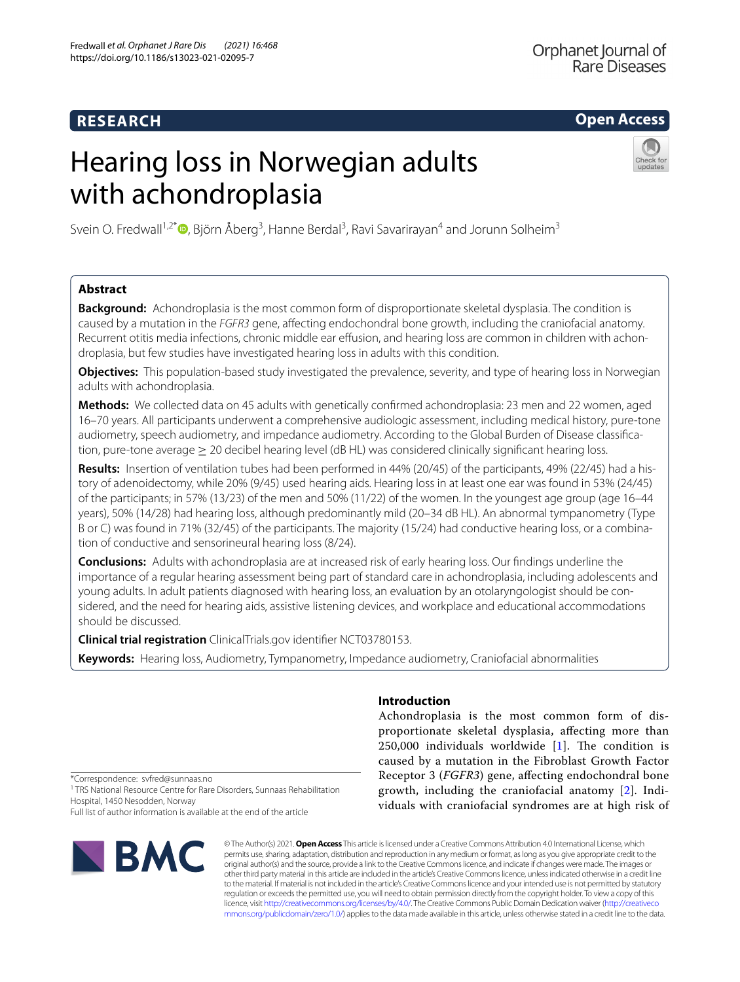### **RESEARCH**

### **Open Access**

# Hearing loss in Norwegian adults with achondroplasia



Svein O. Fredwall<sup>1,2[\\*](http://orcid.org/0000-0002-2804-5783)</sup><sup>®</sup>, Björn Åberg<sup>3</sup>, Hanne Berdal<sup>3</sup>, Ravi Savarirayan<sup>4</sup> and Jorunn Solheim<sup>3</sup>

### **Abstract**

**Background:** Achondroplasia is the most common form of disproportionate skeletal dysplasia. The condition is caused by a mutation in the *FGFR3* gene, afecting endochondral bone growth, including the craniofacial anatomy. Recurrent otitis media infections, chronic middle ear effusion, and hearing loss are common in children with achondroplasia, but few studies have investigated hearing loss in adults with this condition.

**Objectives:** This population-based study investigated the prevalence, severity, and type of hearing loss in Norwegian adults with achondroplasia.

**Methods:** We collected data on 45 adults with genetically confrmed achondroplasia: 23 men and 22 women, aged 16–70 years. All participants underwent a comprehensive audiologic assessment, including medical history, pure-tone audiometry, speech audiometry, and impedance audiometry. According to the Global Burden of Disease classifcation, pure-tone average ≥ 20 decibel hearing level (dB HL) was considered clinically signifcant hearing loss.

**Results:** Insertion of ventilation tubes had been performed in 44% (20/45) of the participants, 49% (22/45) had a history of adenoidectomy, while 20% (9/45) used hearing aids. Hearing loss in at least one ear was found in 53% (24/45) of the participants; in 57% (13/23) of the men and 50% (11/22) of the women. In the youngest age group (age 16–44 years), 50% (14/28) had hearing loss, although predominantly mild (20–34 dB HL). An abnormal tympanometry (Type B or C) was found in 71% (32/45) of the participants. The majority (15/24) had conductive hearing loss, or a combination of conductive and sensorineural hearing loss (8/24).

**Conclusions:** Adults with achondroplasia are at increased risk of early hearing loss. Our fndings underline the importance of a regular hearing assessment being part of standard care in achondroplasia, including adolescents and young adults. In adult patients diagnosed with hearing loss, an evaluation by an otolaryngologist should be considered, and the need for hearing aids, assistive listening devices, and workplace and educational accommodations should be discussed.

**Clinical trial registration** ClinicalTrials.gov identifer NCT03780153.

**Keywords:** Hearing loss, Audiometry, Tympanometry, Impedance audiometry, Craniofacial abnormalities

#### **Introduction**

Achondroplasia is the most common form of disproportionate skeletal dysplasia, afecting more than 250,000 individuals worldwide  $[1]$  $[1]$  $[1]$ . The condition is caused by a mutation in the Fibroblast Growth Factor Receptor 3 (*FGFR3*) gene, afecting endochondral bone growth, including the craniofacial anatomy [\[2](#page-6-1)]. Individuals with craniofacial syndromes are at high risk of

\*Correspondence: svfred@sunnaas.no

<sup>1</sup> TRS National Resource Centre for Rare Disorders, Sunnaas Rehabilitation Hospital, 1450 Nesodden, Norway

Full list of author information is available at the end of the article



© The Author(s) 2021. **Open Access** This article is licensed under a Creative Commons Attribution 4.0 International License, which permits use, sharing, adaptation, distribution and reproduction in any medium or format, as long as you give appropriate credit to the original author(s) and the source, provide a link to the Creative Commons licence, and indicate if changes were made. The images or other third party material in this article are included in the article's Creative Commons licence, unless indicated otherwise in a credit line to the material. If material is not included in the article's Creative Commons licence and your intended use is not permitted by statutory regulation or exceeds the permitted use, you will need to obtain permission directly from the copyright holder. To view a copy of this licence, visit [http://creativecommons.org/licenses/by/4.0/.](http://creativecommons.org/licenses/by/4.0/) The Creative Commons Public Domain Dedication waiver ([http://creativeco](http://creativecommons.org/publicdomain/zero/1.0/) [mmons.org/publicdomain/zero/1.0/](http://creativecommons.org/publicdomain/zero/1.0/)) applies to the data made available in this article, unless otherwise stated in a credit line to the data.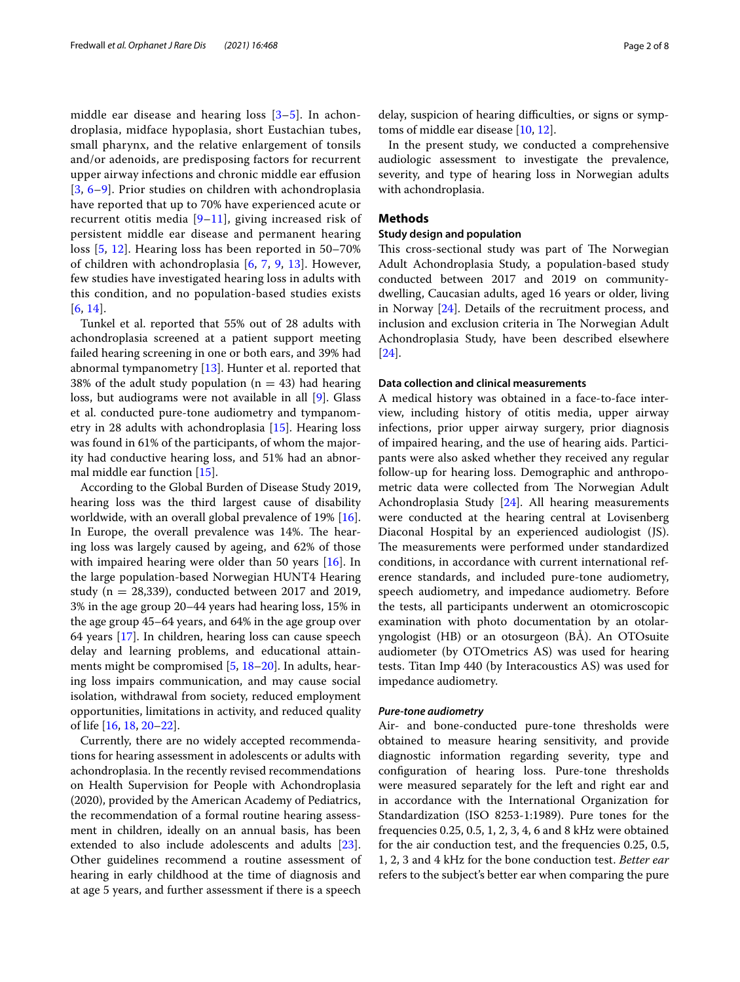middle ear disease and hearing loss [[3–](#page-6-2)[5](#page-6-3)]. In achondroplasia, midface hypoplasia, short Eustachian tubes, small pharynx, and the relative enlargement of tonsils and/or adenoids, are predisposing factors for recurrent upper airway infections and chronic middle ear efusion [[3](#page-6-2), [6–](#page-6-4)[9\]](#page-6-5). Prior studies on children with achondroplasia have reported that up to 70% have experienced acute or recurrent otitis media [[9–](#page-6-5)[11\]](#page-6-6), giving increased risk of persistent middle ear disease and permanent hearing loss [[5](#page-6-3), [12\]](#page-6-7). Hearing loss has been reported in 50–70% of children with achondroplasia [[6,](#page-6-4) [7,](#page-6-8) [9](#page-6-5), [13](#page-6-9)]. However, few studies have investigated hearing loss in adults with this condition, and no population-based studies exists [[6](#page-6-4), [14](#page-6-10)].

Tunkel et al. reported that 55% out of 28 adults with achondroplasia screened at a patient support meeting failed hearing screening in one or both ears, and 39% had abnormal tympanometry [[13\]](#page-6-9). Hunter et al. reported that 38% of the adult study population ( $n = 43$ ) had hearing loss, but audiograms were not available in all [[9](#page-6-5)]. Glass et al. conducted pure-tone audiometry and tympanometry in 28 adults with achondroplasia [[15\]](#page-6-11). Hearing loss was found in 61% of the participants, of whom the majority had conductive hearing loss, and 51% had an abnormal middle ear function [\[15](#page-6-11)].

According to the Global Burden of Disease Study 2019, hearing loss was the third largest cause of disability worldwide, with an overall global prevalence of 19% [\[16](#page-6-12)]. In Europe, the overall prevalence was 14%. The hearing loss was largely caused by ageing, and 62% of those with impaired hearing were older than 50 years [\[16\]](#page-6-12). In the large population-based Norwegian HUNT4 Hearing study ( $n = 28,339$ ), conducted between 2017 and 2019, 3% in the age group 20–44 years had hearing loss, 15% in the age group 45–64 years, and 64% in the age group over 64 years [\[17\]](#page-6-13). In children, hearing loss can cause speech delay and learning problems, and educational attainments might be compromised [\[5](#page-6-3), [18](#page-6-14)[–20](#page-6-15)]. In adults, hearing loss impairs communication, and may cause social isolation, withdrawal from society, reduced employment opportunities, limitations in activity, and reduced quality of life [\[16,](#page-6-12) [18](#page-6-14), [20–](#page-6-15)[22](#page-6-16)].

Currently, there are no widely accepted recommendations for hearing assessment in adolescents or adults with achondroplasia. In the recently revised recommendations on Health Supervision for People with Achondroplasia (2020), provided by the American Academy of Pediatrics, the recommendation of a formal routine hearing assessment in children, ideally on an annual basis, has been extended to also include adolescents and adults [\[23](#page-6-17)]. Other guidelines recommend a routine assessment of hearing in early childhood at the time of diagnosis and at age 5 years, and further assessment if there is a speech delay, suspicion of hearing difficulties, or signs or symptoms of middle ear disease [\[10](#page-6-18), [12\]](#page-6-7).

In the present study, we conducted a comprehensive audiologic assessment to investigate the prevalence, severity, and type of hearing loss in Norwegian adults with achondroplasia.

#### **Methods**

#### **Study design and population**

This cross-sectional study was part of The Norwegian Adult Achondroplasia Study, a population-based study conducted between 2017 and 2019 on communitydwelling, Caucasian adults, aged 16 years or older, living in Norway [\[24](#page-6-19)]. Details of the recruitment process, and inclusion and exclusion criteria in The Norwegian Adult Achondroplasia Study, have been described elsewhere [[24\]](#page-6-19).

#### **Data collection and clinical measurements**

A medical history was obtained in a face-to-face interview, including history of otitis media, upper airway infections, prior upper airway surgery, prior diagnosis of impaired hearing, and the use of hearing aids. Participants were also asked whether they received any regular follow-up for hearing loss. Demographic and anthropometric data were collected from The Norwegian Adult Achondroplasia Study [[24\]](#page-6-19). All hearing measurements were conducted at the hearing central at Lovisenberg Diaconal Hospital by an experienced audiologist (JS). The measurements were performed under standardized conditions, in accordance with current international reference standards, and included pure-tone audiometry, speech audiometry, and impedance audiometry. Before the tests, all participants underwent an otomicroscopic examination with photo documentation by an otolaryngologist (HB) or an otosurgeon (BÅ). An OTOsuite audiometer (by OTOmetrics AS) was used for hearing tests. Titan Imp 440 (by Interacoustics AS) was used for impedance audiometry.

#### *Pure‑tone audiometry*

Air- and bone-conducted pure-tone thresholds were obtained to measure hearing sensitivity, and provide diagnostic information regarding severity, type and confguration of hearing loss. Pure-tone thresholds were measured separately for the left and right ear and in accordance with the International Organization for Standardization (ISO 8253-1:1989). Pure tones for the frequencies 0.25, 0.5, 1, 2, 3, 4, 6 and 8 kHz were obtained for the air conduction test, and the frequencies 0.25, 0.5, 1, 2, 3 and 4 kHz for the bone conduction test. *Better ear* refers to the subject's better ear when comparing the pure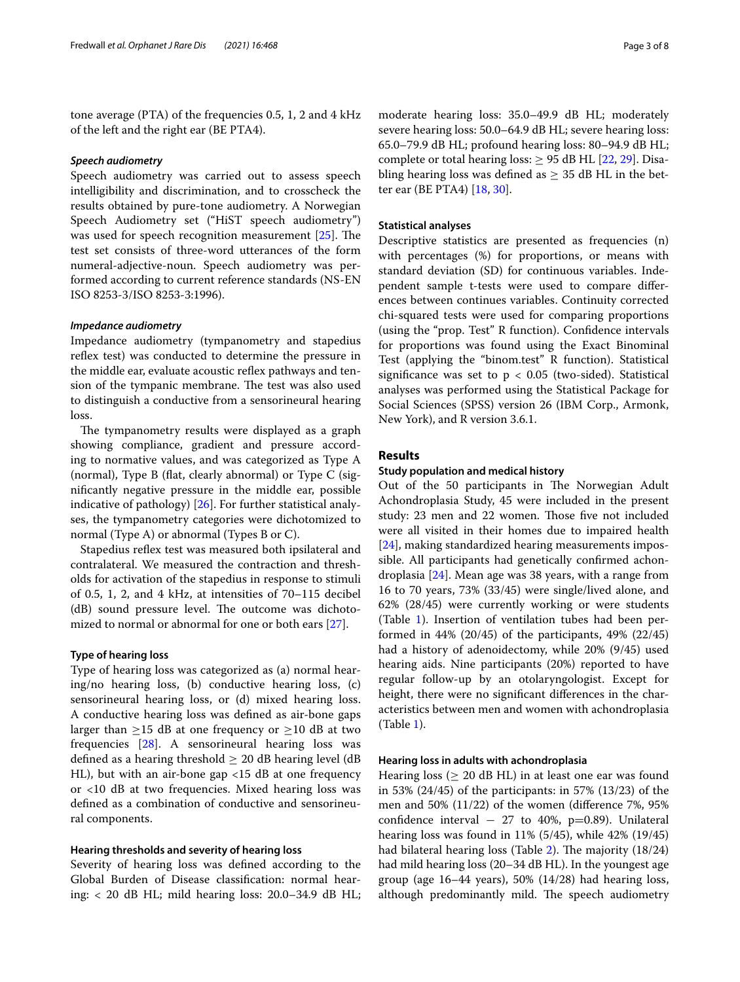tone average (PTA) of the frequencies 0.5, 1, 2 and 4 kHz of the left and the right ear (BE PTA4).

#### *Speech audiometry*

Speech audiometry was carried out to assess speech intelligibility and discrimination, and to crosscheck the results obtained by pure-tone audiometry. A Norwegian Speech Audiometry set ("HiST speech audiometry") was used for speech recognition measurement  $[25]$  $[25]$ . The test set consists of three-word utterances of the form numeral-adjective-noun. Speech audiometry was performed according to current reference standards (NS-EN ISO 8253-3/ISO 8253-3:1996).

#### *Impedance audiometry*

Impedance audiometry (tympanometry and stapedius reflex test) was conducted to determine the pressure in the middle ear, evaluate acoustic refex pathways and tension of the tympanic membrane. The test was also used to distinguish a conductive from a sensorineural hearing loss.

The tympanometry results were displayed as a graph showing compliance, gradient and pressure according to normative values, and was categorized as Type A (normal), Type B (fat, clearly abnormal) or Type C (signifcantly negative pressure in the middle ear, possible indicative of pathology) [[26\]](#page-6-21). For further statistical analyses, the tympanometry categories were dichotomized to normal (Type A) or abnormal (Types B or C).

Stapedius reflex test was measured both ipsilateral and contralateral. We measured the contraction and thresholds for activation of the stapedius in response to stimuli of 0.5, 1, 2, and 4 kHz, at intensities of 70–115 decibel (dB) sound pressure level. The outcome was dichoto-mized to normal or abnormal for one or both ears [[27](#page-6-22)].

#### **Type of hearing loss**

Type of hearing loss was categorized as (a) normal hearing/no hearing loss, (b) conductive hearing loss, (c) sensorineural hearing loss, or (d) mixed hearing loss. A conductive hearing loss was defned as air-bone gaps larger than  $\geq$ 15 dB at one frequency or  $\geq$ 10 dB at two frequencies [\[28](#page-6-23)]. A sensorineural hearing loss was defined as a hearing threshold  $\geq 20$  dB hearing level (dB HL), but with an air-bone gap <15 dB at one frequency or <10 dB at two frequencies. Mixed hearing loss was defned as a combination of conductive and sensorineural components.

#### **Hearing thresholds and severity of hearing loss**

Severity of hearing loss was defned according to the Global Burden of Disease classifcation: normal hearing:  $<$  20 dB HL; mild hearing loss: 20.0–34.9 dB HL;

moderate hearing loss: 35.0–49.9 dB HL; moderately severe hearing loss: 50.0–64.9 dB HL; severe hearing loss: 65.0–79.9 dB HL; profound hearing loss: 80–94.9 dB HL; complete or total hearing loss:  $\geq$  95 dB HL [[22,](#page-6-16) [29](#page-6-24)]. Disabling hearing loss was defined as  $\geq$  35 dB HL in the better ear (BE PTA4) [[18](#page-6-14), [30\]](#page-6-25).

#### **Statistical analyses**

Descriptive statistics are presented as frequencies (n) with percentages (%) for proportions, or means with standard deviation (SD) for continuous variables. Independent sample t-tests were used to compare diferences between continues variables. Continuity corrected chi-squared tests were used for comparing proportions (using the "prop. Test" R function). Confdence intervals for proportions was found using the Exact Binominal Test (applying the "binom.test" R function). Statistical significance was set to  $p < 0.05$  (two-sided). Statistical analyses was performed using the Statistical Package for Social Sciences (SPSS) version 26 (IBM Corp., Armonk, New York), and R version 3.6.1.

#### **Results**

#### **Study population and medical history**

Out of the 50 participants in The Norwegian Adult Achondroplasia Study, 45 were included in the present study: 23 men and 22 women. Those five not included were all visited in their homes due to impaired health [[24\]](#page-6-19), making standardized hearing measurements impossible. All participants had genetically confrmed achondroplasia [\[24\]](#page-6-19). Mean age was 38 years, with a range from 16 to 70 years, 73% (33/45) were single/lived alone, and 62% (28/45) were currently working or were students (Table [1\)](#page-3-0). Insertion of ventilation tubes had been performed in 44% (20/45) of the participants, 49% (22/45) had a history of adenoidectomy, while 20% (9/45) used hearing aids. Nine participants (20%) reported to have regular follow-up by an otolaryngologist. Except for height, there were no signifcant diferences in the characteristics between men and women with achondroplasia (Table [1\)](#page-3-0).

#### **Hearing loss in adults with achondroplasia**

Hearing loss ( $\geq 20$  dB HL) in at least one ear was found in 53% (24/45) of the participants: in 57% (13/23) of the men and 50% (11/22) of the women (diference 7%, 95% confidence interval  $-27$  to 40%, p=0.89). Unilateral hearing loss was found in 11% (5/45), while 42% (19/45) had bilateral hearing loss (Table [2\)](#page-3-1). The majority  $(18/24)$ had mild hearing loss (20–34 dB HL). In the youngest age group (age 16–44 years), 50% (14/28) had hearing loss, although predominantly mild. The speech audiometry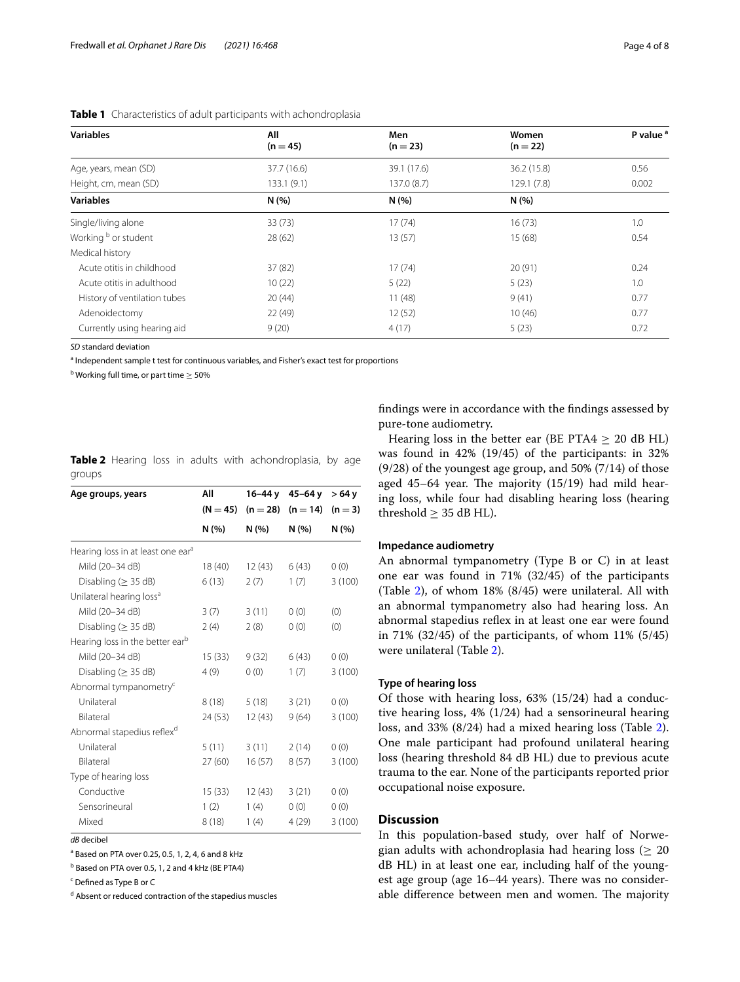| <b>Variables</b>             | All         | Men         | Women       | P value <sup>a</sup> |  |
|------------------------------|-------------|-------------|-------------|----------------------|--|
|                              | $(n = 45)$  | $(n = 23)$  | $(n = 22)$  |                      |  |
| Age, years, mean (SD)        | 37.7 (16.6) | 39.1 (17.6) | 36.2 (15.8) | 0.56                 |  |
| Height, cm, mean (SD)        | 133.1 (9.1) | 137.0(8.7)  | 129.1 (7.8) | 0.002                |  |
| <b>Variables</b>             | N(%)        | N(%)        | N(%)        |                      |  |
| Single/living alone          | 33(73)      | 17(74)      | 16(73)      | 1.0                  |  |
| Working b or student         | 28(62)      | 13(57)      | 15(68)      | 0.54                 |  |
| Medical history              |             |             |             |                      |  |
| Acute otitis in childhood    | 37 (82)     | 17(74)      | 20(91)      | 0.24                 |  |
| Acute otitis in adulthood    | 10(22)      | 5(22)       | 5(23)       | 1.0                  |  |
| History of ventilation tubes | 20(44)      | 11(48)      | 9(41)       | 0.77                 |  |
| Adenoidectomy                | 22(49)      | 12(52)      | 10(46)      | 0.77                 |  |
| Currently using hearing aid  | 9(20)       | 4(17)       | 5(23)       | 0.72                 |  |

#### <span id="page-3-0"></span>**Table 1** Characteristics of adult participants with achondroplasia

*SD* standard deviation

<sup>a</sup> Independent sample t test for continuous variables, and Fisher's exact test for proportions

 $^{\rm b}$  Working full time, or part time  $\geq$  50%

| Age groups, years                             | All        | $16 - 44y$ | $45 - 64y$ | > 64 y    |  |
|-----------------------------------------------|------------|------------|------------|-----------|--|
|                                               | $(N = 45)$ | $(n = 28)$ | $(n = 14)$ | $(n = 3)$ |  |
|                                               | N(% )      | N(% )      | N(% )      | N(% )     |  |
| Hearing loss in at least one ear <sup>a</sup> |            |            |            |           |  |
| Mild (20-34 dB)                               | 18 (40)    | 12(43)     | 6(43)      | 0(0)      |  |
| Disabling ( $\geq$ 35 dB)                     | 6(13)      | 2(7)       | 1(7)       | 3(100)    |  |
| Unilateral hearing loss <sup>a</sup>          |            |            |            |           |  |
| Mild (20-34 dB)                               | 3(7)       | 3(11)      | 0(0)       | (0)       |  |
| Disabling ( $\geq$ 35 dB)                     | 2(4)       | 2(8)       | 0(0)       | (0)       |  |
| Hearing loss in the better ear <sup>b</sup>   |            |            |            |           |  |
| Mild (20-34 dB)                               | 15(33)     | 9(32)      | 6(43)      | 0(0)      |  |
| Disabling ( $\geq$ 35 dB)                     | 4(9)       | 0(0)       | 1(7)       | 3(100)    |  |
| Abnormal tympanometry <sup>c</sup>            |            |            |            |           |  |
| Unilateral                                    | 8(18)      | 5(18)      | 3(21)      | 0(0)      |  |
| Bilateral                                     | 24 (53)    | 12(43)     | 9(64)      | 3(100)    |  |
| Abnormal stapedius reflex <sup>d</sup>        |            |            |            |           |  |
| Unilateral                                    | 5(11)      | 3(11)      | 2(14)      | 0(0)      |  |
| Bilateral                                     | 27(60)     | 16(57)     | 8(57)      | 3(100)    |  |
| Type of hearing loss                          |            |            |            |           |  |
| Conductive                                    | 15 (33)    | 12 (43)    | 3(21)      | 0(0)      |  |
| Sensorineural                                 | 1(2)       | 1(4)       | 0(0)       | 0(0)      |  |
| Mixed                                         | 8(18)      | 1(4)       | 4 (29)     | 3(100)    |  |

<span id="page-3-1"></span>

|        |  |  | <b>Table 2</b> Hearing loss in adults with achondroplasia, by age |  |
|--------|--|--|-------------------------------------------------------------------|--|
| groups |  |  |                                                                   |  |

*dB* decibel

<sup>a</sup> Based on PTA over 0.25, 0.5, 1, 2, 4, 6 and 8 kHz

<sup>b</sup> Based on PTA over 0.5, 1, 2 and 4 kHz (BE PTA4)

<sup>c</sup> Defined as Type B or C

<sup>d</sup> Absent or reduced contraction of the stapedius muscles

fndings were in accordance with the fndings assessed by pure-tone audiometry.

Hearing loss in the better ear (BE PTA4  $> 20$  dB HL) was found in 42% (19/45) of the participants: in 32% (9/28) of the youngest age group, and 50% (7/14) of those aged  $45-64$  year. The majority  $(15/19)$  had mild hearing loss, while four had disabling hearing loss (hearing threshold  $\geq$  35 dB HL).

#### **Impedance audiometry**

An abnormal tympanometry (Type B or C) in at least one ear was found in 71% (32/45) of the participants (Table [2\)](#page-3-1), of whom 18% (8/45) were unilateral. All with an abnormal tympanometry also had hearing loss. An abnormal stapedius reflex in at least one ear were found in 71% (32/45) of the participants, of whom 11% (5/45) were unilateral (Table [2](#page-3-1)).

#### **Type of hearing loss**

Of those with hearing loss, 63% (15/24) had a conductive hearing loss, 4% (1/24) had a sensorineural hearing loss, and 33% (8/24) had a mixed hearing loss (Table [2](#page-3-1)). One male participant had profound unilateral hearing loss (hearing threshold 84 dB HL) due to previous acute trauma to the ear. None of the participants reported prior occupational noise exposure.

#### **Discussion**

In this population-based study, over half of Norwegian adults with achondroplasia had hearing loss ( $\geq 20$ dB HL) in at least one ear, including half of the youngest age group (age 16–44 years). There was no considerable difference between men and women. The majority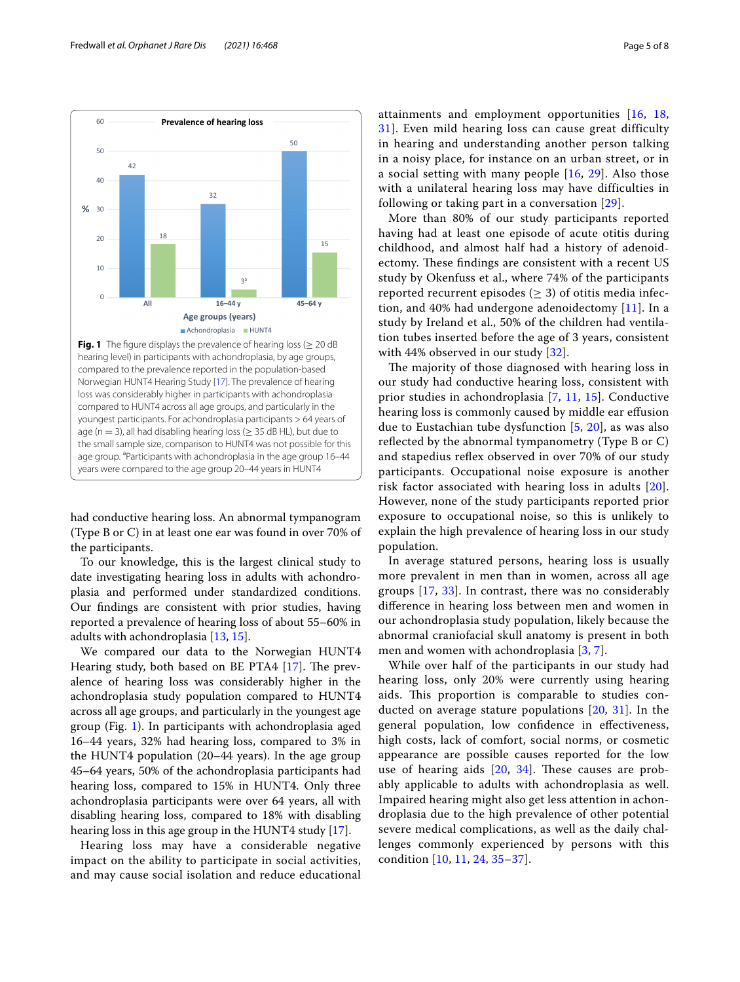



<span id="page-4-0"></span>had conductive hearing loss. An abnormal tympanogram (Type B or C) in at least one ear was found in over 70% of the participants.

To our knowledge, this is the largest clinical study to date investigating hearing loss in adults with achondroplasia and performed under standardized conditions. Our fndings are consistent with prior studies, having reported a prevalence of hearing loss of about 55–60% in adults with achondroplasia [\[13](#page-6-9), [15](#page-6-11)].

We compared our data to the Norwegian HUNT4 Hearing study, both based on BE PTA4  $[17]$  $[17]$ . The prevalence of hearing loss was considerably higher in the achondroplasia study population compared to HUNT4 across all age groups, and particularly in the youngest age group (Fig. [1\)](#page-4-0). In participants with achondroplasia aged 16–44 years, 32% had hearing loss, compared to 3% in the HUNT4 population (20–44 years). In the age group 45–64 years, 50% of the achondroplasia participants had hearing loss, compared to 15% in HUNT4. Only three achondroplasia participants were over 64 years, all with disabling hearing loss, compared to 18% with disabling hearing loss in this age group in the HUNT4 study [[17\]](#page-6-13).

Hearing loss may have a considerable negative impact on the ability to participate in social activities, and may cause social isolation and reduce educational attainments and employment opportunities [[16](#page-6-12), [18](#page-6-14), [31\]](#page-6-26). Even mild hearing loss can cause great difficulty in hearing and understanding another person talking in a noisy place, for instance on an urban street, or in a social setting with many people [\[16,](#page-6-12) [29\]](#page-6-24). Also those with a unilateral hearing loss may have difficulties in following or taking part in a conversation [[29](#page-6-24)].

More than 80% of our study participants reported having had at least one episode of acute otitis during childhood, and almost half had a history of adenoidectomy. These findings are consistent with a recent US study by Okenfuss et al., where 74% of the participants reported recurrent episodes ( $\geq$  3) of otitis media infection, and 40% had undergone adenoidectomy [\[11](#page-6-6)]. In a study by Ireland et al., 50% of the children had ventilation tubes inserted before the age of 3 years, consistent with 44% observed in our study [[32\]](#page-6-27).

The majority of those diagnosed with hearing loss in our study had conductive hearing loss, consistent with prior studies in achondroplasia [[7,](#page-6-8) [11](#page-6-6), [15](#page-6-11)]. Conductive hearing loss is commonly caused by middle ear efusion due to Eustachian tube dysfunction [\[5](#page-6-3), [20\]](#page-6-15), as was also reflected by the abnormal tympanometry (Type B or C) and stapedius reflex observed in over 70% of our study participants. Occupational noise exposure is another risk factor associated with hearing loss in adults [[20](#page-6-15)]. However, none of the study participants reported prior exposure to occupational noise, so this is unlikely to explain the high prevalence of hearing loss in our study population.

In average statured persons, hearing loss is usually more prevalent in men than in women, across all age groups [\[17](#page-6-13), [33\]](#page-6-28). In contrast, there was no considerably diference in hearing loss between men and women in our achondroplasia study population, likely because the abnormal craniofacial skull anatomy is present in both men and women with achondroplasia [\[3](#page-6-2), [7](#page-6-8)].

While over half of the participants in our study had hearing loss, only 20% were currently using hearing aids. This proportion is comparable to studies conducted on average stature populations  $[20, 31]$  $[20, 31]$  $[20, 31]$  $[20, 31]$  $[20, 31]$ . In the general population, low confdence in efectiveness, high costs, lack of comfort, social norms, or cosmetic appearance are possible causes reported for the low use of hearing aids  $[20, 34]$  $[20, 34]$  $[20, 34]$ . These causes are probably applicable to adults with achondroplasia as well. Impaired hearing might also get less attention in achondroplasia due to the high prevalence of other potential severe medical complications, as well as the daily challenges commonly experienced by persons with this condition [[10](#page-6-18), [11](#page-6-6), [24](#page-6-19), [35–](#page-6-30)[37](#page-6-31)].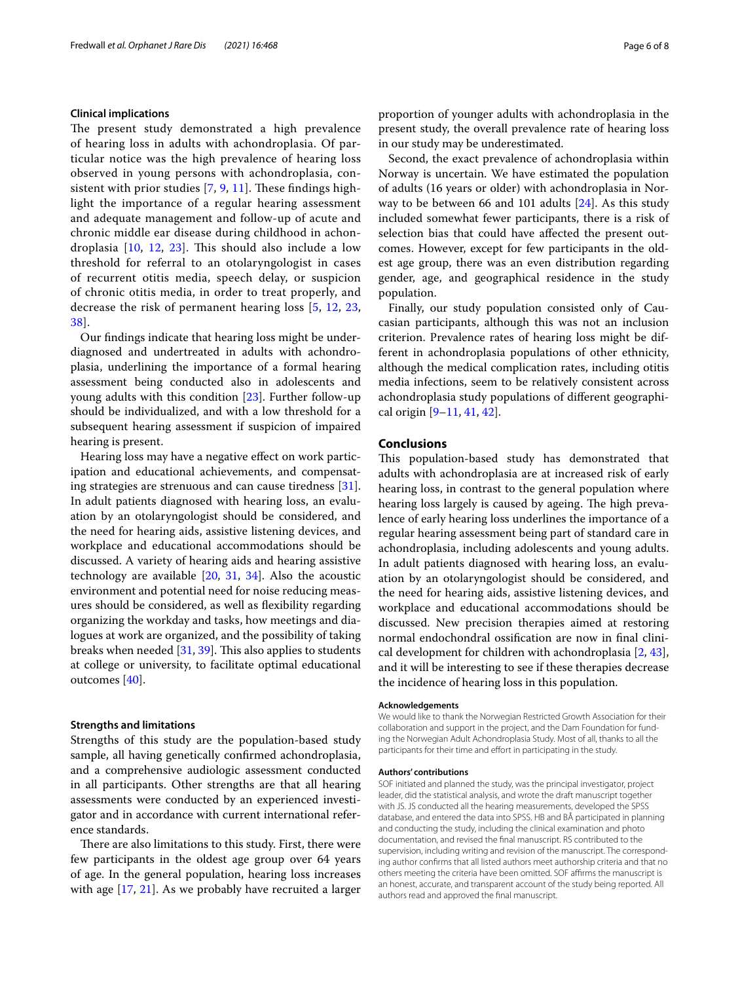#### **Clinical implications**

The present study demonstrated a high prevalence of hearing loss in adults with achondroplasia. Of particular notice was the high prevalence of hearing loss observed in young persons with achondroplasia, consistent with prior studies  $[7, 9, 11]$  $[7, 9, 11]$  $[7, 9, 11]$  $[7, 9, 11]$  $[7, 9, 11]$  $[7, 9, 11]$ . These findings highlight the importance of a regular hearing assessment and adequate management and follow-up of acute and chronic middle ear disease during childhood in achondroplasia  $[10, 12, 23]$  $[10, 12, 23]$  $[10, 12, 23]$  $[10, 12, 23]$  $[10, 12, 23]$  $[10, 12, 23]$  $[10, 12, 23]$ . This should also include a low threshold for referral to an otolaryngologist in cases of recurrent otitis media, speech delay, or suspicion of chronic otitis media, in order to treat properly, and decrease the risk of permanent hearing loss [[5,](#page-6-3) [12](#page-6-7), [23](#page-6-17), [38\]](#page-7-0).

Our fndings indicate that hearing loss might be underdiagnosed and undertreated in adults with achondroplasia, underlining the importance of a formal hearing assessment being conducted also in adolescents and young adults with this condition [\[23](#page-6-17)]. Further follow-up should be individualized, and with a low threshold for a subsequent hearing assessment if suspicion of impaired hearing is present.

Hearing loss may have a negative efect on work participation and educational achievements, and compensating strategies are strenuous and can cause tiredness [\[31](#page-6-26)]. In adult patients diagnosed with hearing loss, an evaluation by an otolaryngologist should be considered, and the need for hearing aids, assistive listening devices, and workplace and educational accommodations should be discussed. A variety of hearing aids and hearing assistive technology are available  $[20, 31, 34]$  $[20, 31, 34]$  $[20, 31, 34]$  $[20, 31, 34]$  $[20, 31, 34]$ . Also the acoustic environment and potential need for noise reducing measures should be considered, as well as fexibility regarding organizing the workday and tasks, how meetings and dialogues at work are organized, and the possibility of taking breaks when needed  $[31, 39]$  $[31, 39]$  $[31, 39]$  $[31, 39]$ . This also applies to students at college or university, to facilitate optimal educational outcomes [[40\]](#page-7-2).

#### **Strengths and limitations**

Strengths of this study are the population-based study sample, all having genetically confrmed achondroplasia, and a comprehensive audiologic assessment conducted in all participants. Other strengths are that all hearing assessments were conducted by an experienced investigator and in accordance with current international reference standards.

There are also limitations to this study. First, there were few participants in the oldest age group over 64 years of age. In the general population, hearing loss increases with age [[17](#page-6-13), [21](#page-6-32)]. As we probably have recruited a larger proportion of younger adults with achondroplasia in the present study, the overall prevalence rate of hearing loss in our study may be underestimated.

Second, the exact prevalence of achondroplasia within Norway is uncertain. We have estimated the population of adults (16 years or older) with achondroplasia in Norway to be between 66 and 101 adults [[24\]](#page-6-19). As this study included somewhat fewer participants, there is a risk of selection bias that could have afected the present outcomes. However, except for few participants in the oldest age group, there was an even distribution regarding gender, age, and geographical residence in the study population.

Finally, our study population consisted only of Caucasian participants, although this was not an inclusion criterion. Prevalence rates of hearing loss might be different in achondroplasia populations of other ethnicity, although the medical complication rates, including otitis media infections, seem to be relatively consistent across achondroplasia study populations of diferent geographical origin [[9](#page-6-5)[–11](#page-6-6), [41,](#page-7-3) [42](#page-7-4)].

#### **Conclusions**

This population-based study has demonstrated that adults with achondroplasia are at increased risk of early hearing loss, in contrast to the general population where hearing loss largely is caused by ageing. The high prevalence of early hearing loss underlines the importance of a regular hearing assessment being part of standard care in achondroplasia, including adolescents and young adults. In adult patients diagnosed with hearing loss, an evaluation by an otolaryngologist should be considered, and the need for hearing aids, assistive listening devices, and workplace and educational accommodations should be discussed. New precision therapies aimed at restoring normal endochondral ossifcation are now in fnal clinical development for children with achondroplasia [[2,](#page-6-1) [43](#page-7-5)], and it will be interesting to see if these therapies decrease the incidence of hearing loss in this population.

#### **Acknowledgements**

We would like to thank the Norwegian Restricted Growth Association for their collaboration and support in the project, and the Dam Foundation for funding the Norwegian Adult Achondroplasia Study. Most of all, thanks to all the participants for their time and efort in participating in the study.

#### **Authors' contributions**

SOF initiated and planned the study, was the principal investigator, project leader, did the statistical analysis, and wrote the draft manuscript together with JS. JS conducted all the hearing measurements, developed the SPSS database, and entered the data into SPSS. HB and BÅ participated in planning and conducting the study, including the clinical examination and photo documentation, and revised the fnal manuscript. RS contributed to the supervision, including writing and revision of the manuscript. The corresponding author confrms that all listed authors meet authorship criteria and that no others meeting the criteria have been omitted. SOF afrms the manuscript is an honest, accurate, and transparent account of the study being reported. All authors read and approved the fnal manuscript.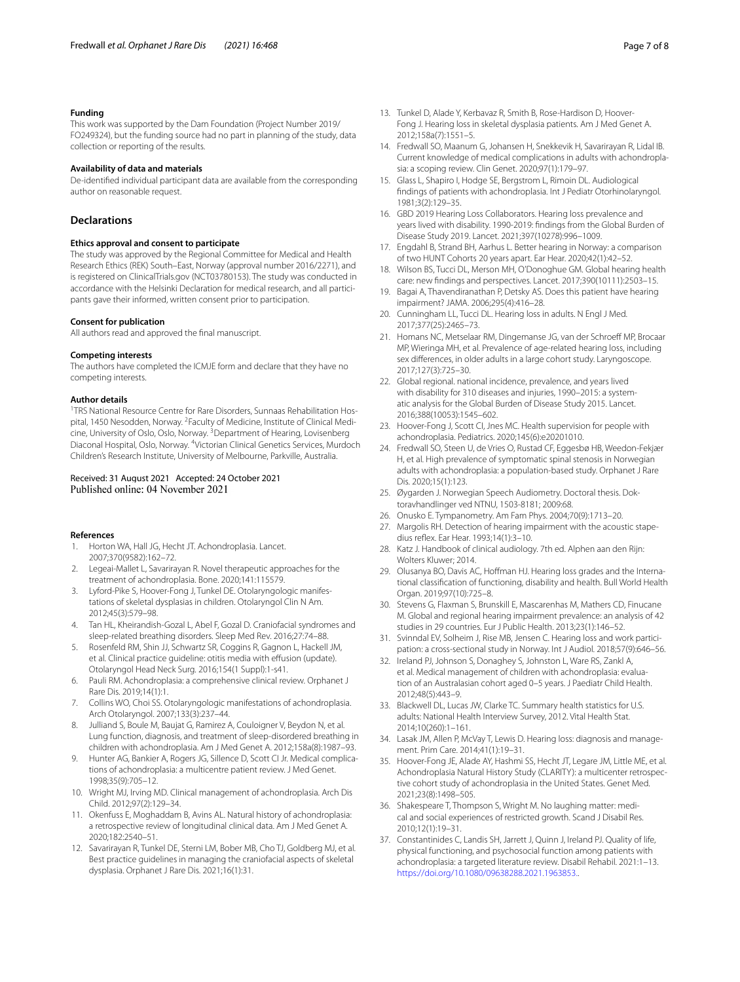#### **Funding**

This work was supported by the Dam Foundation (Project Number 2019/ FO249324), but the funding source had no part in planning of the study, data collection or reporting of the results.

#### **Availability of data and materials**

De-identifed individual participant data are available from the corresponding author on reasonable request.

#### **Declarations**

#### **Ethics approval and consent to participate**

The study was approved by the Regional Committee for Medical and Health Research Ethics (REK) South–East, Norway (approval number 2016/2271), and is registered on ClinicalTrials.gov (NCT03780153). The study was conducted in accordance with the Helsinki Declaration for medical research, and all participants gave their informed, written consent prior to participation.

#### **Consent for publication**

All authors read and approved the fnal manuscript.

#### **Competing interests**

The authors have completed the ICMJE form and declare that they have no competing interests.

#### **Author details**

<sup>1</sup>TRS National Resource Centre for Rare Disorders, Sunnaas Rehabilitation Hospital, 1450 Nesodden, Norway. <sup>2</sup> Faculty of Medicine, Institute of Clinical Medicine, University of Oslo, Oslo, Norway. <sup>3</sup> Department of Hearing, Lovisenberg Diaconal Hospital, Oslo, Norway. <sup>4</sup> Victorian Clinical Genetics Services, Murdoch Children's Research Institute, University of Melbourne, Parkville, Australia.

## Received: 31 August 2021 Accepted: 24 October 2021

#### **References**

- <span id="page-6-0"></span>1. Horton WA, Hall JG, Hecht JT. Achondroplasia. Lancet. 2007;370(9582):162–72.
- <span id="page-6-1"></span>2. Legeai-Mallet L, Savarirayan R. Novel therapeutic approaches for the treatment of achondroplasia. Bone. 2020;141:115579.
- <span id="page-6-2"></span>3. Lyford-Pike S, Hoover-Fong J, Tunkel DE. Otolaryngologic manifestations of skeletal dysplasias in children. Otolaryngol Clin N Am. 2012;45(3):579–98.
- 4. Tan HL, Kheirandish-Gozal L, Abel F, Gozal D. Craniofacial syndromes and sleep-related breathing disorders. Sleep Med Rev. 2016;27:74–88.
- <span id="page-6-3"></span>5. Rosenfeld RM, Shin JJ, Schwartz SR, Coggins R, Gagnon L, Hackell JM, et al. Clinical practice guideline: otitis media with effusion (update). Otolaryngol Head Neck Surg. 2016;154(1 Suppl):1-s41.
- <span id="page-6-4"></span>6. Pauli RM. Achondroplasia: a comprehensive clinical review. Orphanet J Rare Dis. 2019;14(1):1.
- <span id="page-6-8"></span>7. Collins WO, Choi SS. Otolaryngologic manifestations of achondroplasia. Arch Otolaryngol. 2007;133(3):237–44.
- 8. Julliand S, Boule M, Baujat G, Ramirez A, Couloigner V, Beydon N, et al. Lung function, diagnosis, and treatment of sleep-disordered breathing in children with achondroplasia. Am J Med Genet A. 2012;158a(8):1987–93.
- <span id="page-6-5"></span>9. Hunter AG, Bankier A, Rogers JG, Sillence D, Scott CI Jr. Medical complications of achondroplasia: a multicentre patient review. J Med Genet. 1998;35(9):705–12.
- <span id="page-6-18"></span>10. Wright MJ, Irving MD. Clinical management of achondroplasia. Arch Dis Child. 2012;97(2):129–34.
- <span id="page-6-6"></span>11. Okenfuss E, Moghaddam B, Avins AL. Natural history of achondroplasia: a retrospective review of longitudinal clinical data. Am J Med Genet A. 2020;182:2540–51.
- <span id="page-6-7"></span>12. Savarirayan R, Tunkel DE, Sterni LM, Bober MB, Cho TJ, Goldberg MJ, et al. Best practice guidelines in managing the craniofacial aspects of skeletal dysplasia. Orphanet J Rare Dis. 2021;16(1):31.
- <span id="page-6-9"></span>13. Tunkel D, Alade Y, Kerbavaz R, Smith B, Rose-Hardison D, Hoover-Fong J. Hearing loss in skeletal dysplasia patients. Am J Med Genet A. 2012;158a(7):1551–5.
- <span id="page-6-10"></span>14. Fredwall SO, Maanum G, Johansen H, Snekkevik H, Savarirayan R, Lidal IB. Current knowledge of medical complications in adults with achondroplasia: a scoping review. Clin Genet. 2020;97(1):179–97.
- <span id="page-6-11"></span>15. Glass L, Shapiro I, Hodge SE, Bergstrom L, Rimoin DL. Audiological fndings of patients with achondroplasia. Int J Pediatr Otorhinolaryngol. 1981;3(2):129–35.
- <span id="page-6-12"></span>16. GBD 2019 Hearing Loss Collaborators. Hearing loss prevalence and years lived with disability. 1990-2019: fndings from the Global Burden of Disease Study 2019. Lancet. 2021;397(10278):996–1009.
- <span id="page-6-13"></span>17. Engdahl B, Strand BH, Aarhus L. Better hearing in Norway: a comparison of two HUNT Cohorts 20 years apart. Ear Hear. 2020;42(1):42–52.
- <span id="page-6-14"></span>18. Wilson BS, Tucci DL, Merson MH, O'Donoghue GM. Global hearing health care: new fndings and perspectives. Lancet. 2017;390(10111):2503–15.
- 19. Bagai A, Thavendiranathan P, Detsky AS. Does this patient have hearing impairment? JAMA. 2006;295(4):416–28.
- <span id="page-6-15"></span>20. Cunningham LL, Tucci DL. Hearing loss in adults. N Engl J Med. 2017;377(25):2465–73.
- <span id="page-6-32"></span>21. Homans NC, Metselaar RM, Dingemanse JG, van der Schroeff MP, Brocaar MP, Wieringa MH, et al. Prevalence of age-related hearing loss, including sex diferences, in older adults in a large cohort study. Laryngoscope. 2017;127(3):725–30.
- <span id="page-6-16"></span>22. Global regional. national incidence, prevalence, and years lived with disability for 310 diseases and injuries, 1990–2015: a systematic analysis for the Global Burden of Disease Study 2015. Lancet. 2016;388(10053):1545–602.
- <span id="page-6-17"></span>23. Hoover-Fong J, Scott CI, Jnes MC. Health supervision for people with achondroplasia. Pediatrics. 2020;145(6):e20201010.
- <span id="page-6-19"></span>24. Fredwall SO, Steen U, de Vries O, Rustad CF, Eggesbø HB, Weedon-Fekjær H, et al. High prevalence of symptomatic spinal stenosis in Norwegian adults with achondroplasia: a population-based study. Orphanet J Rare Dis. 2020;15(1):123.
- <span id="page-6-20"></span>25. Øygarden J. Norwegian Speech Audiometry. Doctoral thesis. Doktoravhandlinger ved NTNU, 1503-8181; 2009:68.
- <span id="page-6-21"></span>26. Onusko E. Tympanometry. Am Fam Phys. 2004;70(9):1713–20.
- <span id="page-6-22"></span>27. Margolis RH. Detection of hearing impairment with the acoustic stapedius refex. Ear Hear. 1993;14(1):3–10.
- <span id="page-6-23"></span>28. Katz J. Handbook of clinical audiology. 7th ed. Alphen aan den Rijn: Wolters Kluwer; 2014.
- <span id="page-6-24"></span>29. Olusanya BO, Davis AC, Hofman HJ. Hearing loss grades and the International classifcation of functioning, disability and health. Bull World Health Organ. 2019;97(10):725-8.
- <span id="page-6-25"></span>30. Stevens G, Flaxman S, Brunskill E, Mascarenhas M, Mathers CD, Finucane M. Global and regional hearing impairment prevalence: an analysis of 42 studies in 29 countries. Eur J Public Health. 2013;23(1):146–52.
- <span id="page-6-26"></span>31. Svinndal EV, Solheim J, Rise MB, Jensen C. Hearing loss and work participation: a cross-sectional study in Norway. Int J Audiol. 2018;57(9):646–56.
- <span id="page-6-27"></span>32. Ireland PJ, Johnson S, Donaghey S, Johnston L, Ware RS, Zankl A, et al. Medical management of children with achondroplasia: evaluation of an Australasian cohort aged 0–5 years. J Paediatr Child Health. 2012;48(5):443–9.
- <span id="page-6-28"></span>33. Blackwell DL, Lucas JW, Clarke TC. Summary health statistics for U.S. adults: National Health Interview Survey, 2012. Vital Health Stat. 2014;10(260):1–161.
- <span id="page-6-29"></span>34. Lasak JM, Allen P, McVay T, Lewis D. Hearing loss: diagnosis and management. Prim Care. 2014;41(1):19–31.
- <span id="page-6-30"></span>35. Hoover-Fong JE, Alade AY, Hashmi SS, Hecht JT, Legare JM, Little ME, et al. Achondroplasia Natural History Study (CLARITY): a multicenter retrospective cohort study of achondroplasia in the United States. Genet Med. 2021;23(8):1498–505.
- 36. Shakespeare T, Thompson S, Wright M. No laughing matter: medical and social experiences of restricted growth. Scand J Disabil Res. 2010;12(1):19–31.
- <span id="page-6-31"></span>37. Constantinides C, Landis SH, Jarrett J, Quinn J, Ireland PJ. Quality of life, physical functioning, and psychosocial function among patients with achondroplasia: a targeted literature review. Disabil Rehabil. 2021:1–13. <https://doi.org/10.1080/09638288.2021.1963853.>.